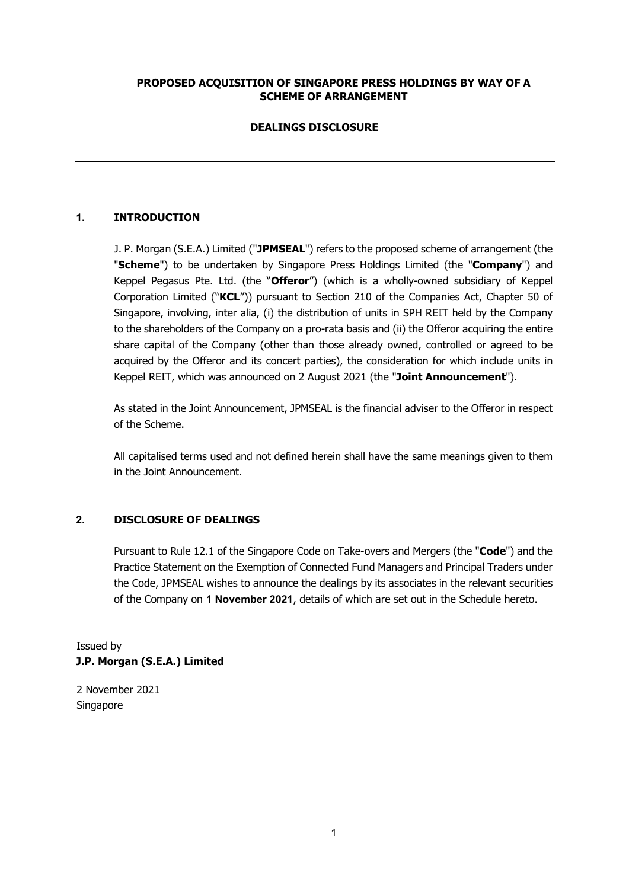## **PROPOSED ACQUISITION OF SINGAPORE PRESS HOLDINGS BY WAY OF A SCHEME OF ARRANGEMENT**

## **DEALINGS DISCLOSURE**

## **1. INTRODUCTION**

J. P. Morgan (S.E.A.) Limited ("**JPMSEAL**") refers to the proposed scheme of arrangement (the "**Scheme**") to be undertaken by Singapore Press Holdings Limited (the "**Company**") and Keppel Pegasus Pte. Ltd. (the "**Offeror**") (which is a wholly-owned subsidiary of Keppel Corporation Limited ("**KCL**")) pursuant to Section 210 of the Companies Act, Chapter 50 of Singapore, involving, inter alia, (i) the distribution of units in SPH REIT held by the Company to the shareholders of the Company on a pro-rata basis and (ii) the Offeror acquiring the entire share capital of the Company (other than those already owned, controlled or agreed to be acquired by the Offeror and its concert parties), the consideration for which include units in Keppel REIT, which was announced on 2 August 2021 (the "**Joint Announcement**").

As stated in the Joint Announcement, JPMSEAL is the financial adviser to the Offeror in respect of the Scheme.

All capitalised terms used and not defined herein shall have the same meanings given to them in the Joint Announcement.

## **2. DISCLOSURE OF DEALINGS**

Pursuant to Rule 12.1 of the Singapore Code on Take-overs and Mergers (the "**Code**") and the Practice Statement on the Exemption of Connected Fund Managers and Principal Traders under the Code, JPMSEAL wishes to announce the dealings by its associates in the relevant securities of the Company on **1 November 2021**, details of which are set out in the Schedule hereto.

Issued by **J.P. Morgan (S.E.A.) Limited** 

2 November 2021 Singapore